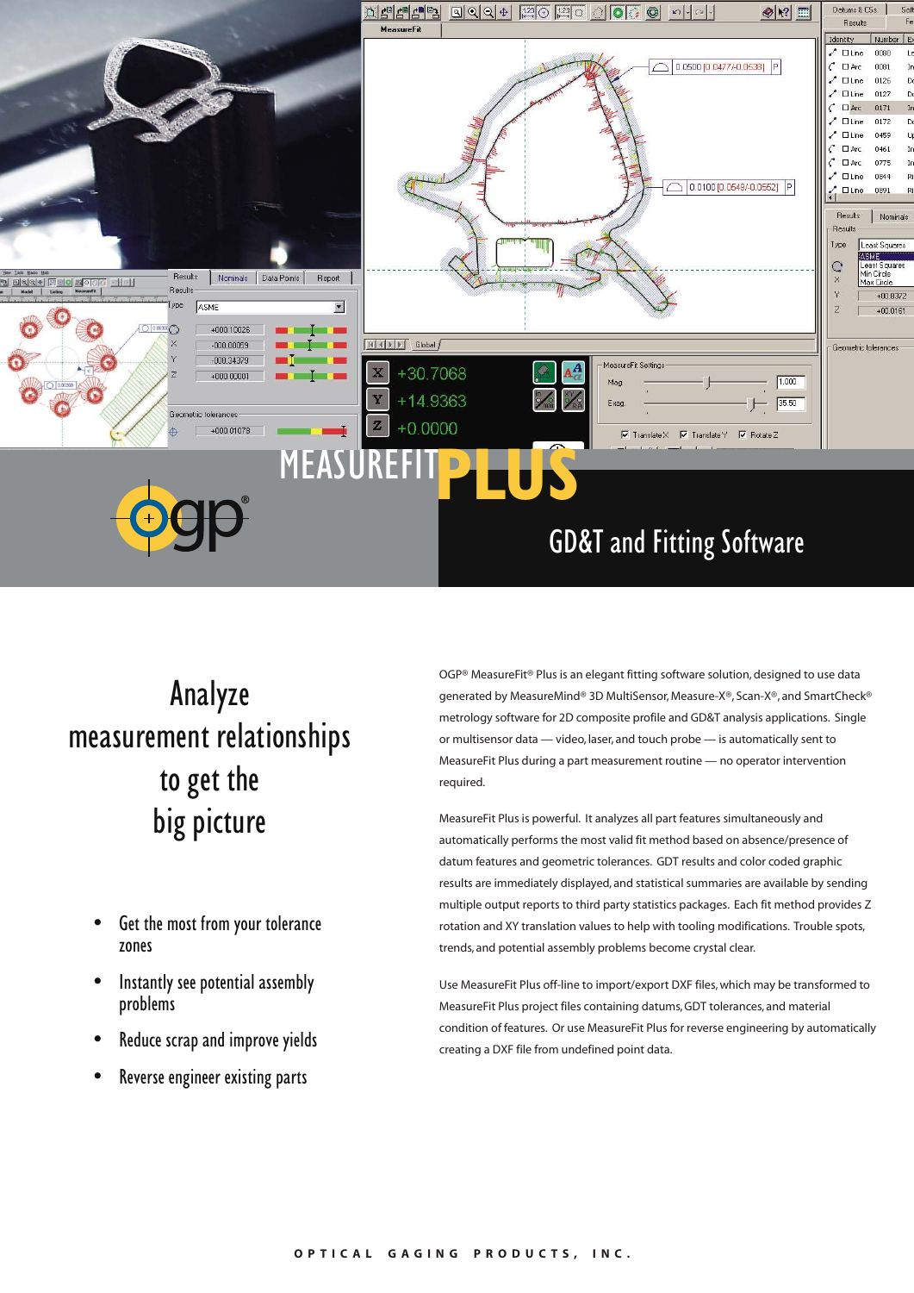

## Analyze measurement relationships to get the big picture

- Get the most from your tolerance zones
- Instantly see potential assembly problems
- Reduce scrap and improve yields
- Reverse engineer existing parts

OGP® MeasureFit® Plus is an elegant fitting software solution, designed to use data generated by MeasureMind® 3D MultiSensor, Measure-X®, Scan-X®, and SmartCheck® metrology software for 2D composite profile and GD&T analysis applications. Single or multisensor data — video, laser, and touch probe — is automatically sent to MeasureFit Plus during a part measurement routine — no operator intervention required.

MeasureFit Plus is powerful. It analyzes all part features simultaneously and automatically performs the most valid fit method based on absence/presence of datum features and geometric tolerances. GDT results and color coded graphic results are immediately displayed, and statistical summaries are available by sending multiple output reports to third party statistics packages. Each fit method provides Z rotation and XY translation values to help with tooling modifications. Trouble spots, trends, and potential assembly problems become crystal clear.

Use MeasureFit Plus off-line to import/export DXF files, which may be transformed to MeasureFit Plus project files containing datums, GDT tolerances, and material condition of features. Or use MeasureFit Plus for reverse engineering by automatically creating a DXF file from undefined point data.